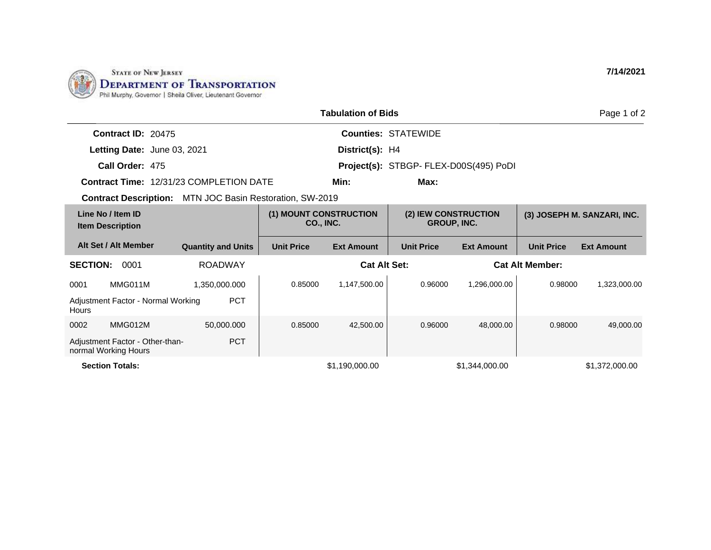

|                 |                                                                 |                                                |                                     | <b>Tabulation of Bids</b> |                            |                                            |                   | Page 1 of 2                 |
|-----------------|-----------------------------------------------------------------|------------------------------------------------|-------------------------------------|---------------------------|----------------------------|--------------------------------------------|-------------------|-----------------------------|
|                 | <b>Contract ID: 20475</b>                                       |                                                |                                     |                           | <b>Counties: STATEWIDE</b> |                                            |                   |                             |
|                 | Letting Date: June 03, 2021                                     |                                                |                                     | District(s): H4           |                            |                                            |                   |                             |
|                 | Call Order: 475                                                 |                                                |                                     |                           |                            | Project(s): STBGP- FLEX-D00S(495) PoDI     |                   |                             |
|                 |                                                                 | <b>Contract Time: 12/31/23 COMPLETION DATE</b> |                                     | Min:                      | Max:                       |                                            |                   |                             |
|                 | <b>Contract Description:</b> MTN JOC Basin Restoration, SW-2019 |                                                |                                     |                           |                            |                                            |                   |                             |
|                 | Line No / Item ID<br><b>Item Description</b>                    |                                                | (1) MOUNT CONSTRUCTION<br>CO., INC. |                           |                            | (2) IEW CONSTRUCTION<br><b>GROUP, INC.</b> |                   | (3) JOSEPH M. SANZARI, INC. |
|                 | Alt Set / Alt Member                                            | <b>Quantity and Units</b>                      | <b>Unit Price</b>                   | <b>Ext Amount</b>         | <b>Unit Price</b>          | <b>Ext Amount</b>                          | <b>Unit Price</b> | <b>Ext Amount</b>           |
| <b>SECTION:</b> | 0001                                                            | <b>ROADWAY</b>                                 |                                     | <b>Cat Alt Set:</b>       | <b>Cat Alt Member:</b>     |                                            |                   |                             |
| 0001            | MMG011M                                                         | 1,350,000.000                                  | 0.85000                             | 1,147,500.00              | 0.96000                    | 1,296,000.00                               | 0.98000           | 1,323,000.00                |
| Hours           | Adjustment Factor - Normal Working                              | <b>PCT</b>                                     |                                     |                           |                            |                                            |                   |                             |
| 0002            | MMG012M                                                         | 50,000.000                                     | 0.85000                             | 42,500.00                 | 0.96000                    | 48,000.00                                  | 0.98000           | 49,000.00                   |
|                 | Adjustment Factor - Other-than-<br>normal Working Hours         | <b>PCT</b>                                     |                                     |                           |                            |                                            |                   |                             |
|                 | <b>Section Totals:</b>                                          |                                                |                                     | \$1,190,000.00            |                            | \$1,344,000.00                             |                   | \$1,372,000.00              |

**7/14/2021**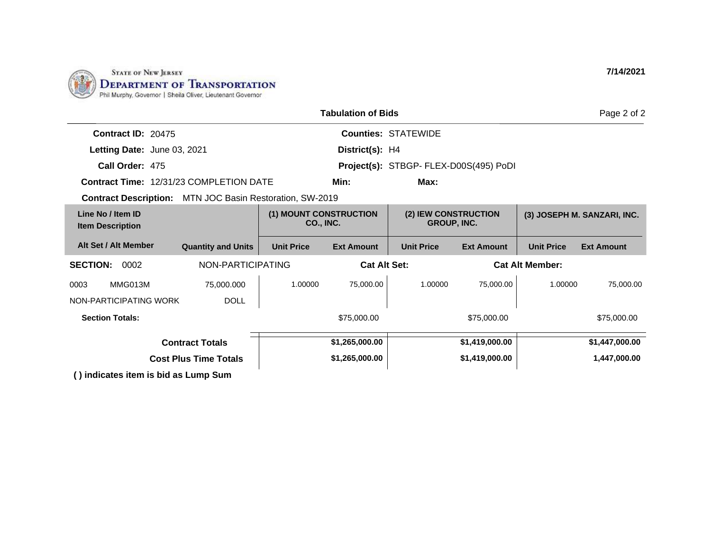

|                                                                 |                              |                                     | <b>Tabulation of Bids</b> |                                            |                   |                   | Page 2 of 2                 |
|-----------------------------------------------------------------|------------------------------|-------------------------------------|---------------------------|--------------------------------------------|-------------------|-------------------|-----------------------------|
| Contract ID: 20475                                              |                              |                                     |                           | <b>Counties: STATEWIDE</b>                 |                   |                   |                             |
| Letting Date: June 03, 2021                                     |                              |                                     | District(s): H4           |                                            |                   |                   |                             |
| Call Order: 475                                                 |                              |                                     |                           | Project(s): STBGP- FLEX-D00S(495) PoDI     |                   |                   |                             |
| <b>Contract Time: 12/31/23 COMPLETION DATE</b>                  |                              |                                     | Min:                      | Max:                                       |                   |                   |                             |
| <b>Contract Description:</b> MTN JOC Basin Restoration, SW-2019 |                              |                                     |                           |                                            |                   |                   |                             |
| Line No / Item ID<br><b>Item Description</b>                    |                              | (1) MOUNT CONSTRUCTION<br>CO., INC. |                           | (2) IEW CONSTRUCTION<br><b>GROUP, INC.</b> |                   |                   | (3) JOSEPH M. SANZARI, INC. |
| Alt Set / Alt Member                                            | <b>Quantity and Units</b>    | <b>Unit Price</b>                   | <b>Ext Amount</b>         | <b>Unit Price</b>                          | <b>Ext Amount</b> | <b>Unit Price</b> | <b>Ext Amount</b>           |
| <b>SECTION:</b><br>NON-PARTICIPATING<br>0002                    |                              | <b>Cat Alt Set:</b>                 |                           | <b>Cat Alt Member:</b>                     |                   |                   |                             |
| MMG013M<br>0003                                                 | 75,000.000                   | 1.00000                             | 75,000.00                 | 1.00000                                    | 75,000.00         | 1.00000           | 75,000.00                   |
| NON-PARTICIPATING WORK                                          | <b>DOLL</b>                  |                                     |                           |                                            |                   |                   |                             |
| <b>Section Totals:</b>                                          |                              |                                     | \$75,000.00               |                                            | \$75,000.00       |                   | \$75,000.00                 |
|                                                                 | <b>Contract Totals</b>       |                                     | \$1,265,000.00            |                                            | \$1,419,000.00    |                   | \$1,447,000.00              |
|                                                                 | <b>Cost Plus Time Totals</b> |                                     | \$1,265,000.00            |                                            | \$1,419,000.00    |                   | 1,447,000.00                |
| () indicates item is bid as Lump Sum                            |                              |                                     |                           |                                            |                   |                   |                             |

**7/14/2021**